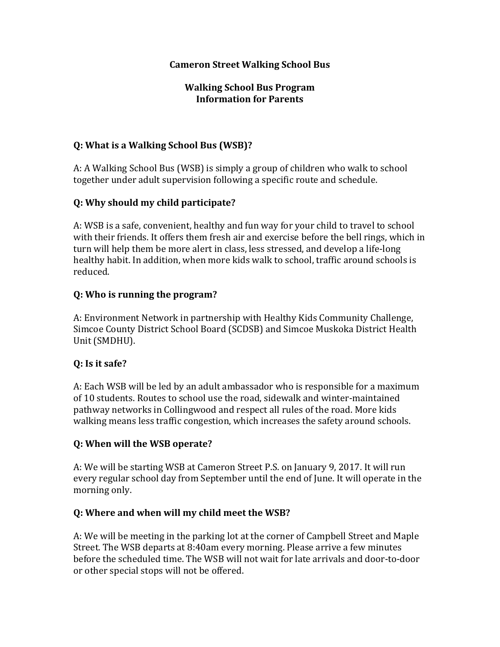### **Cameron Street Walking School Bus**

#### **Walking School Bus Program Information for Parents**

### **Q:** What is a Walking School Bus (WSB)?

A: A Walking School Bus (WSB) is simply a group of children who walk to school together under adult supervision following a specific route and schedule.

### **Q: Why should my child participate?**

A: WSB is a safe, convenient, healthy and fun way for your child to travel to school with their friends. It offers them fresh air and exercise before the bell rings, which in turn will help them be more alert in class, less stressed, and develop a life-long healthy habit. In addition, when more kids walk to school, traffic around schools is reduced. 

### **Q:** Who is running the program?

A: Environment Network in partnership with Healthy Kids Community Challenge, Simcoe County District School Board (SCDSB) and Simcoe Muskoka District Health Unit (SMDHU).

## **Q: Is it safe?**

A: Each WSB will be led by an adult ambassador who is responsible for a maximum of 10 students. Routes to school use the road, sidewalk and winter-maintained pathway networks in Collingwood and respect all rules of the road. More kids walking means less traffic congestion, which increases the safety around schools.

#### **Q: When will the WSB operate?**

A: We will be starting WSB at Cameron Street P.S. on January 9, 2017. It will run every regular school day from September until the end of June. It will operate in the morning only.

#### **Q: Where and when will my child meet the WSB?**

A: We will be meeting in the parking lot at the corner of Campbell Street and Maple Street. The WSB departs at 8:40am every morning. Please arrive a few minutes before the scheduled time. The WSB will not wait for late arrivals and door-to-door or other special stops will not be offered.